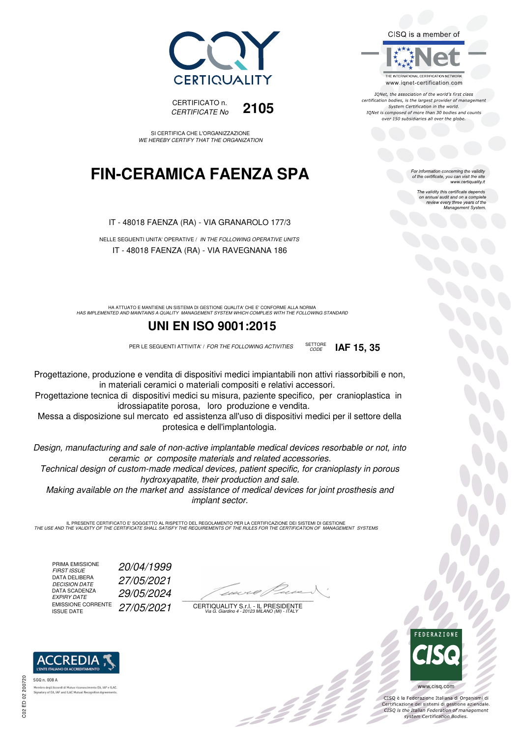



SI CERTIFICA CHE L'ORGANIZZAZIONE WE HEREBY CERTIFY THAT THE ORGANIZATION

## **FIN-CERAMICA FAENZA SPA**

IT - 48018 FAENZA (RA) - VIA GRANAROLO 177/3

NELLE SEGUENTI UNITA' OPERATIVE / IN THE FOLLOWING OPERATIVE UNITS IT - 48018 FAENZA (RA) - VIA RAVEGNANA 186

HA ATTUATO E MANTIENE UN SISTEMA DI GESTIONE QUALITA' CHE E' CONFORME ALLA NORMA<br>HAS IMPLEMENTED AND MAINTAINS A QUALITY MANAGEMENT SYSTEM WHICH COMPLIES WITH THE FOLLOWING STANDARD

## **UNI EN ISO 9001:2015**

PER LE SEGUENTI ATTIVITA' / FOR THE FOLLOWING ACTIVITIES SETTORE



Progettazione, produzione e vendita di dispositivi medici impiantabili non attivi riassorbibili e non, in materiali ceramici o materiali compositi e relativi accessori.

Progettazione tecnica di dispositivi medici su misura, paziente specifico, per cranioplastica in idrossiapatite porosa, loro produzione e vendita.

Messa a disposizione sul mercato ed assistenza all'uso di dispositivi medici per il settore della protesica e dell'implantologia.

Design, manufacturing and sale of non-active implantable medical devices resorbable or not, into ceramic or composite materials and related accessories.

Technical design of custom-made medical devices, patient specific, for cranioplasty in porous hydroxyapatite, their production and sale.

Making available on the market and assistance of medical devices for joint prosthesis and implant sector.

IL PRESENTE CERTIFICATO E' SOGGETTO AL RISPETTO DEL REGOLAMENTO PER LA CERTIFICAZIONE DEI SISTEMI DI GESTIONE<br>THE USE AND THE VALIDITY OF THE CERTIFICATE SHALL SATISFY THE REQUIREMENTS OF THE RULES FOR THE CERTIFICATION OF

PRIMA EMISSIONE<br>FIRST ISSUE DATA DELIBERA<br>DECISION DATE DATA SCADENZA<br>EXPIRY DATE EMISSIONE CORRENTE<br>ISSUE DATE

FIRST ISSUE 20/04/1999 DECISION DATE 27/05/2021 EXPIRY DATE 29/05/2024 27/05/2021

 $\overline{\phantom{a}}$ 

CERTIQUALITY S.r.l. - IL PRESIDENTE Via G. Giardino 4 - 20123 MILANO (MI) - ITALY



 $\frac{1}{2}$ 

CISQ è la Federazione Italiana di Organismi di Certificazione dei sistemi di gestione aziendale.<br>CISQ is the Italian Federation of management system Certification Bodies.

C02 ED 02 200720

**ACCREDIA** 

CISQ is a member of THE INTERNATIONAL CERTIFICATION NETWORK www.iqnet-certification.com

IONet, the association of the world's first class certification bodies, is the largest provider of management System Certification in the world. IQNet is composed of more than 30 bodies and counts over 150 subsidiaries all over the globe.

For information concerning the validity<br>of the certificate, you can visit the site<br>www.certiquality.it

The validity this certificate depends on annual audit and on a complete review every three years of the Management System.